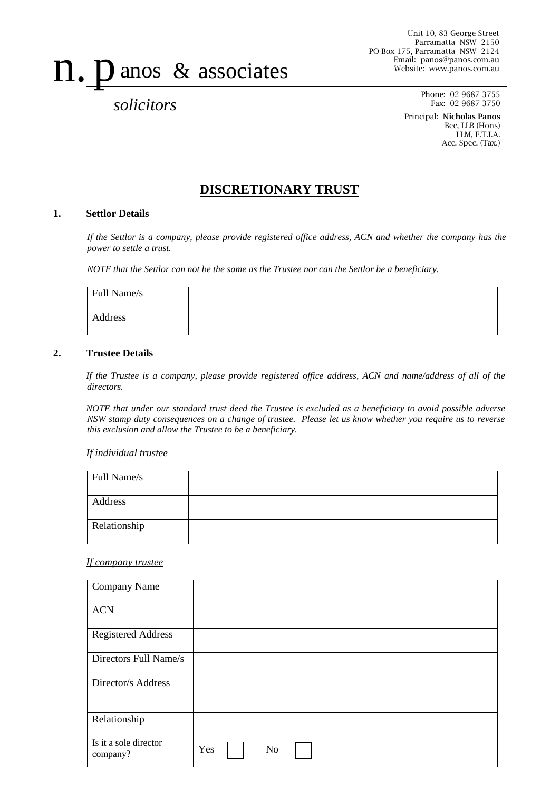# n. panos & associates

*solicitors*

Phone: 02 9687 3755 Fax: 02 9687 3750

Principal: Nicholas Panos Bec, LLB (Hons) LLM, F.T.I.A. Acc. Spec. (Tax.)

# **DISCRETIONARY TRUST**

# **1. Settlor Details**

*If the Settlor is a company, please provide registered office address, ACN and whether the company has the power to settle a trust.*

*NOTE that the Settlor can not be the same as the Trustee nor can the Settlor be a beneficiary.*

| Full Name/s |  |
|-------------|--|
| Address     |  |

### **2. Trustee Details**

*If the Trustee is a company, please provide registered office address, ACN and name/address of all of the directors.* 

*NOTE that under our standard trust deed the Trustee is excluded as a beneficiary to avoid possible adverse NSW stamp duty consequences on a change of trustee. Please let us know whether you require us to reverse this exclusion and allow the Trustee to be a beneficiary.*

#### *If individual trustee*

| Full Name/s  |  |
|--------------|--|
| Address      |  |
| Relationship |  |

#### *If company trustee*

| Company Name                      |     |    |  |  |  |
|-----------------------------------|-----|----|--|--|--|
| <b>ACN</b>                        |     |    |  |  |  |
| <b>Registered Address</b>         |     |    |  |  |  |
| Directors Full Name/s             |     |    |  |  |  |
| Director/s Address                |     |    |  |  |  |
| Relationship                      |     |    |  |  |  |
| Is it a sole director<br>company? | Yes | No |  |  |  |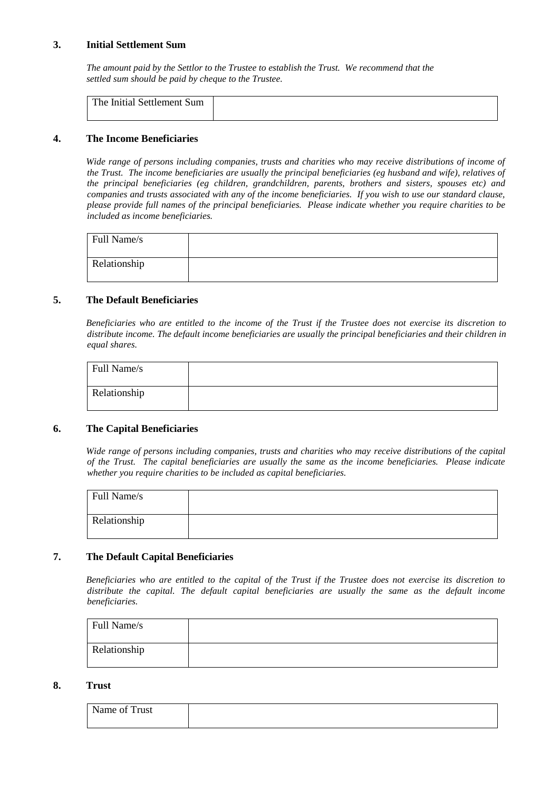# **3. Initial Settlement Sum**

*The amount paid by the Settlor to the Trustee to establish the Trust. We recommend that the settled sum should be paid by cheque to the Trustee.*

#### **4. The Income Beneficiaries**

*Wide range of persons including companies, trusts and charities who may receive distributions of income of the Trust. The income beneficiaries are usually the principal beneficiaries (eg husband and wife), relatives of the principal beneficiaries (eg children, grandchildren, parents, brothers and sisters, spouses etc) and companies and trusts associated with any of the income beneficiaries. If you wish to use our standard clause, please provide full names of the principal beneficiaries. Please indicate whether you require charities to be included as income beneficiaries.*

| Full Name/s  |  |
|--------------|--|
| Relationship |  |

# **5. The Default Beneficiaries**

*Beneficiaries who are entitled to the income of the Trust if the Trustee does not exercise its discretion to distribute income. The default income beneficiaries are usually the principal beneficiaries and their children in equal shares.*

| Full Name/s  |  |
|--------------|--|
| Relationship |  |

# **6. The Capital Beneficiaries**

*Wide range of persons including companies, trusts and charities who may receive distributions of the capital of the Trust. The capital beneficiaries are usually the same as the income beneficiaries. Please indicate whether you require charities to be included as capital beneficiaries.*

| Full Name/s  |  |
|--------------|--|
| Relationship |  |

# **7. The Default Capital Beneficiaries**

*Beneficiaries who are entitled to the capital of the Trust if the Trustee does not exercise its discretion to distribute the capital. The default capital beneficiaries are usually the same as the default income beneficiaries.*

| Full Name/s  |  |
|--------------|--|
| Relationship |  |

#### **8. Trust**

| Name of Trust |  |
|---------------|--|
|               |  |